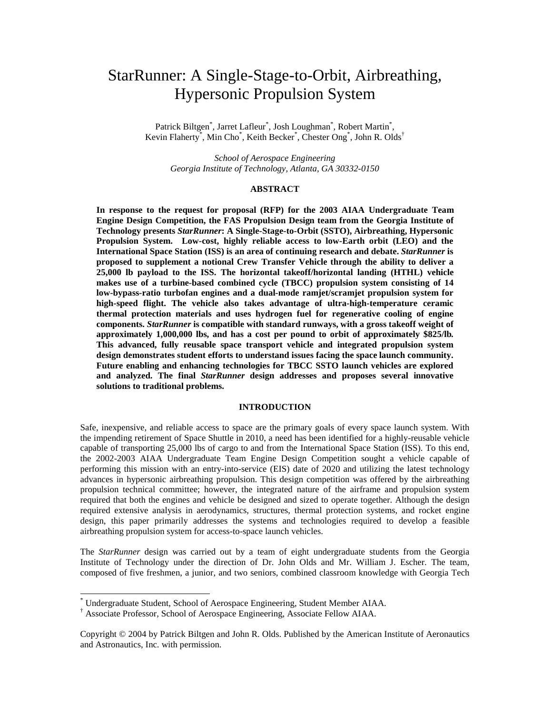# StarRunner: A Single-Stage-to-Orbit, Airbreathing, Hypersonic Propulsion System

Patrick Biltgen<sup>\*</sup>, Jarret Lafleur<sup>\*</sup>, Josh Loughman<sup>\*</sup>, Robert Martin<sup>\*</sup>, Kevin Flaherty<sup>\*</sup>, Min Cho<sup>\*</sup>, Keith Becker<sup>\*</sup>, Chester Ong<sup>\*</sup>, John R. Olds<sup>†</sup>

*School of Aerospace Engineering Georgia Institute of Technology, Atlanta, GA 30332-0150*

# **ABSTRACT**

**In response to the request for proposal (RFP) for the 2003 AIAA Undergraduate Team Engine Design Competition, the FAS Propulsion Design team from the Georgia Institute of Technology presents** *StarRunner***: A Single-Stage-to-Orbit (SSTO), Airbreathing, Hypersonic Propulsion System. Low-cost, highly reliable access to low-Earth orbit (LEO) and the International Space Station (ISS) is an area of continuing research and debate.** *StarRunner* **is proposed to supplement a notional Crew Transfer Vehicle through the ability to deliver a 25,000 lb payload to the ISS. The horizontal takeoff/horizontal landing (HTHL) vehicle makes use of a turbine-based combined cycle (TBCC) propulsion system consisting of 14 low-bypass-ratio turbofan engines and a dual-mode ramjet/scramjet propulsion system for high-speed flight. The vehicle also takes advantage of ultra-high-temperature ceramic thermal protection materials and uses hydrogen fuel for regenerative cooling of engine components.** *StarRunner* **is compatible with standard runways, with a gross takeoff weight of approximately 1,000,000 lbs, and has a cost per pound to orbit of approximately \$825/lb. This advanced, fully reusable space transport vehicle and integrated propulsion system design demonstrates student efforts to understand issues facing the space launch community. Future enabling and enhancing technologies for TBCC SSTO launch vehicles are explored and analyzed. The final** *StarRunner* **design addresses and proposes several innovative solutions to traditional problems.**

#### **INTRODUCTION**

Safe, inexpensive, and reliable access to space are the primary goals of every space launch system. With the impending retirement of Space Shuttle in 2010, a need has been identified for a highly-reusable vehicle capable of transporting 25,000 lbs of cargo to and from the International Space Station (ISS). To this end, the 2002-2003 AIAA Undergraduate Team Engine Design Competition sought a vehicle capable of performing this mission with an entry-into-service (EIS) date of 2020 and utilizing the latest technology advances in hypersonic airbreathing propulsion. This design competition was offered by the airbreathing propulsion technical committee; however, the integrated nature of the airframe and propulsion system required that both the engines and vehicle be designed and sized to operate together. Although the design required extensive analysis in aerodynamics, structures, thermal protection systems, and rocket engine design, this paper primarily addresses the systems and technologies required to develop a feasible airbreathing propulsion system for access-to-space launch vehicles.

The *StarRunner* design was carried out by a team of eight undergraduate students from the Georgia Institute of Technology under the direction of Dr. John Olds and Mr. William J. Escher. The team, composed of five freshmen, a junior, and two seniors, combined classroom knowledge with Georgia Tech

<sup>\*</sup> Undergraduate Student, School of Aerospace Engineering, Student Member AIAA.

<sup>†</sup> Associate Professor, School of Aerospace Engineering, Associate Fellow AIAA.

Copyright © 2004 by Patrick Biltgen and John R. Olds. Published by the American Institute of Aeronautics and Astronautics, Inc. with permission.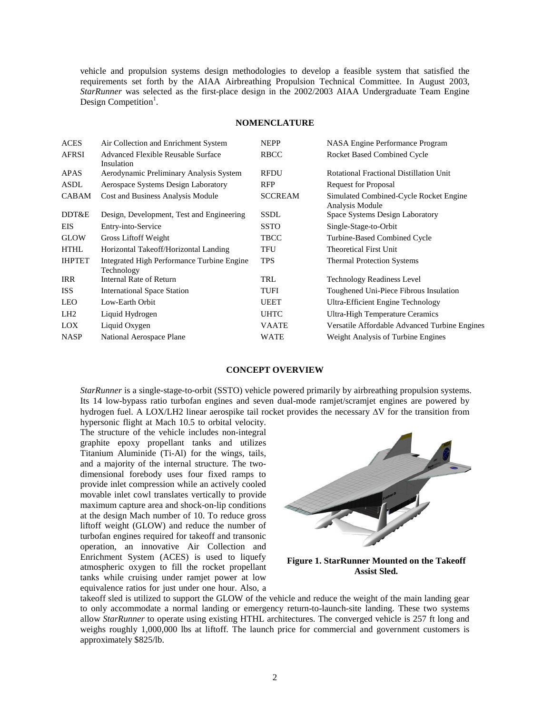vehicle and propulsion systems design methodologies to develop a feasible system that satisfied the requirements set forth by the AIAA Airbreathing Propulsion Technical Committee. In August 2003, *StarRunner* was selected as the first-place design in the 2002/2003 AIAA Undergraduate Team Engine Design Competition<sup>1</sup>.

#### **NOMENCLATURE**

| <b>ACES</b>     | Air Collection and Enrichment System                     | <b>NEPP</b>    | NASA Engine Performance Program                           |
|-----------------|----------------------------------------------------------|----------------|-----------------------------------------------------------|
| <b>AFRSI</b>    | Advanced Flexible Reusable Surface<br>Insulation         | <b>RBCC</b>    | <b>Rocket Based Combined Cycle</b>                        |
| <b>APAS</b>     | Aerodynamic Preliminary Analysis System                  | <b>RFDU</b>    | Rotational Fractional Distillation Unit                   |
| ASDL            | Aerospace Systems Design Laboratory                      | <b>RFP</b>     | <b>Request for Proposal</b>                               |
| <b>CABAM</b>    | Cost and Business Analysis Module                        | <b>SCCREAM</b> | Simulated Combined-Cycle Rocket Engine<br>Analysis Module |
| DDT&E           | Design, Development, Test and Engineering                | SSDL           | Space Systems Design Laboratory                           |
| <b>EIS</b>      | Entry-into-Service                                       | <b>SSTO</b>    | Single-Stage-to-Orbit                                     |
| <b>GLOW</b>     | Gross Liftoff Weight                                     | <b>TBCC</b>    | Turbine-Based Combined Cycle                              |
| <b>HTHL</b>     | Horizontal Takeoff/Horizontal Landing                    | TFU            | <b>Theoretical First Unit</b>                             |
| <b>IHPTET</b>   | Integrated High Performance Turbine Engine<br>Technology | <b>TPS</b>     | <b>Thermal Protection Systems</b>                         |
| <b>IRR</b>      | Internal Rate of Return                                  | TRL            | <b>Technology Readiness Level</b>                         |
| <b>ISS</b>      | <b>International Space Station</b>                       | TUFI           | Toughened Uni-Piece Fibrous Insulation                    |
| <b>LEO</b>      | Low-Earth Orbit                                          | <b>UEET</b>    | Ultra-Efficient Engine Technology                         |
| LH <sub>2</sub> | Liquid Hydrogen                                          | <b>UHTC</b>    | <b>Ultra-High Temperature Ceramics</b>                    |
| LOX.            | Liquid Oxygen                                            | <b>VAATE</b>   | Versatile Affordable Advanced Turbine Engines             |
| <b>NASP</b>     | National Aerospace Plane                                 | <b>WATE</b>    | Weight Analysis of Turbine Engines                        |
|                 |                                                          |                |                                                           |

#### **CONCEPT OVERVIEW**

*StarRunner* is a single-stage-to-orbit (SSTO) vehicle powered primarily by airbreathing propulsion systems. Its 14 low-bypass ratio turbofan engines and seven dual-mode ramjet/scramjet engines are powered by hydrogen fuel. A LOX/LH2 linear aerospike tail rocket provides the necessary  $\Delta V$  for the transition from

hypersonic flight at Mach 10.5 to orbital velocity. The structure of the vehicle includes non-integral graphite epoxy propellant tanks and utilizes Titanium Aluminide (Ti-Al) for the wings, tails, and a majority of the internal structure. The twodimensional forebody uses four fixed ramps to provide inlet compression while an actively cooled movable inlet cowl translates vertically to provide maximum capture area and shock-on-lip conditions at the design Mach number of 10. To reduce gross liftoff weight (GLOW) and reduce the number of turbofan engines required for takeoff and transonic operation, an innovative Air Collection and Enrichment System (ACES) is used to liquefy atmospheric oxygen to fill the rocket propellant tanks while cruising under ramjet power at low equivalence ratios for just under one hour. Also, a



**Figure 1. StarRunner Mounted on the Takeoff Assist Sled.**

takeoff sled is utilized to support the GLOW of the vehicle and reduce the weight of the main landing gear to only accommodate a normal landing or emergency return-to-launch-site landing. These two systems allow *StarRunner* to operate using existing HTHL architectures. The converged vehicle is 257 ft long and weighs roughly 1,000,000 lbs at liftoff. The launch price for commercial and government customers is approximately \$825/lb.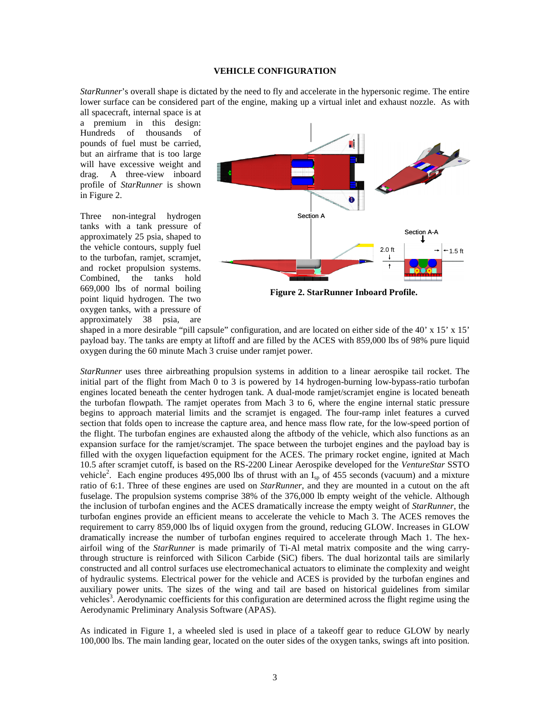#### **VEHICLE CONFIGURATION**

*StarRunner*'s overall shape is dictated by the need to fly and accelerate in the hypersonic regime. The entire lower surface can be considered part of the engine, making up a virtual inlet and exhaust nozzle. As with

all spacecraft, internal space is at a premium in this design: Hundreds of thousands of pounds of fuel must be carried, but an airframe that is too large will have excessive weight and drag. A three-view inboard profile of *StarRunner* is shown in Figure 2.

Three non-integral hydrogen tanks with a tank pressure of approximately 25 psia, shaped to the vehicle contours, supply fuel to the turbofan, ramjet, scramjet, and rocket propulsion systems. Combined, the tanks hold 669,000 lbs of normal boiling point liquid hydrogen. The two oxygen tanks, with a pressure of approximately 38 psia, are



**Figure 2. StarRunner Inboard Profile.**

shaped in a more desirable "pill capsule" configuration, and are located on either side of the 40' x 15' x 15' payload bay. The tanks are empty at liftoff and are filled by the ACES with 859,000 lbs of 98% pure liquid oxygen during the 60 minute Mach 3 cruise under ramjet power.

*StarRunner* uses three airbreathing propulsion systems in addition to a linear aerospike tail rocket. The initial part of the flight from Mach 0 to 3 is powered by 14 hydrogen-burning low-bypass-ratio turbofan engines located beneath the center hydrogen tank. A dual-mode ramjet/scramjet engine is located beneath the turbofan flowpath. The ramjet operates from Mach 3 to 6, where the engine internal static pressure begins to approach material limits and the scramjet is engaged. The four-ramp inlet features a curved section that folds open to increase the capture area, and hence mass flow rate, for the low-speed portion of the flight. The turbofan engines are exhausted along the aftbody of the vehicle, which also functions as an expansion surface for the ramjet/scramjet. The space between the turbojet engines and the payload bay is filled with the oxygen liquefaction equipment for the ACES. The primary rocket engine, ignited at Mach 10.5 after scramjet cutoff, is based on the RS-2200 Linear Aerospike developed for the *VentureStar* SSTO vehicle<sup>2</sup>. Each engine produces 495,000 lbs of thrust with an  $I_{sp}$  of 455 seconds (vacuum) and a mixture ratio of 6:1. Three of these engines are used on *StarRunner*, and they are mounted in a cutout on the aft fuselage. The propulsion systems comprise 38% of the 376,000 lb empty weight of the vehicle. Although the inclusion of turbofan engines and the ACES dramatically increase the empty weight of *StarRunner*, the turbofan engines provide an efficient means to accelerate the vehicle to Mach 3. The ACES removes the requirement to carry 859,000 lbs of liquid oxygen from the ground, reducing GLOW. Increases in GLOW dramatically increase the number of turbofan engines required to accelerate through Mach 1. The hexairfoil wing of the *StarRunner* is made primarily of Ti-Al metal matrix composite and the wing carrythrough structure is reinforced with Silicon Carbide (SiC) fibers. The dual horizontal tails are similarly constructed and all control surfaces use electromechanical actuators to eliminate the complexity and weight of hydraulic systems. Electrical power for the vehicle and ACES is provided by the turbofan engines and auxiliary power units. The sizes of the wing and tail are based on historical guidelines from similar vehicles<sup>3</sup>. Aerodynamic coefficients for this configuration are determined across the flight regime using the Aerodynamic Preliminary Analysis Software (APAS).

As indicated in Figure 1, a wheeled sled is used in place of a takeoff gear to reduce GLOW by nearly 100,000 lbs. The main landing gear, located on the outer sides of the oxygen tanks, swings aft into position.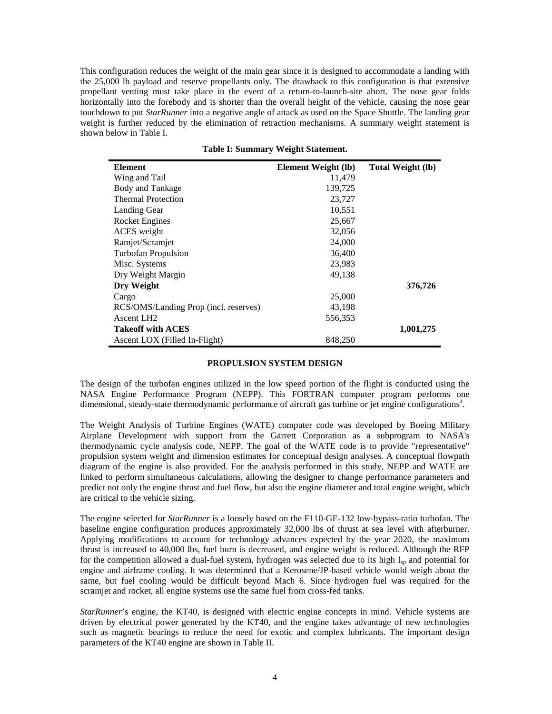This configuration reduces the weight of the main gear since it is designed to accommodate a landing with the 25,000 lb payload and reserve propellants only. The drawback to this configuration is that extensive propellant venting must take place in the event of a return-to-launch-site abort. The nose gear folds horizontally into the forebody and is shorter than the overall height of the vehicle, causing the nose gear touchdown to put *StarRunner* into a negative angle of attack as used on the Space Shuttle. The landing gear weight is further reduced by the elimination of retraction mechanisms. A summary weight statement is shown below in Table I.

| Element                               | Element Weight (lb) | <b>Total Weight (lb)</b> |
|---------------------------------------|---------------------|--------------------------|
| Wing and Tail                         | 11,479              |                          |
| Body and Tankage                      | 139,725             |                          |
| <b>Thermal Protection</b>             | 23,727              |                          |
| Landing Gear                          | 10,551              |                          |
| Rocket Engines                        | 25,667              |                          |
| ACES weight                           | 32,056              |                          |
| Ramjet/Scramjet                       | 24,000              |                          |
| <b>Turbofan Propulsion</b>            | 36,400              |                          |
| Misc. Systems                         | 23,983              |                          |
| Dry Weight Margin                     | 49,138              |                          |
| Dry Weight                            |                     | 376,726                  |
| Cargo                                 | 25,000              |                          |
| RCS/OMS/Landing Prop (incl. reserves) | 43,198              |                          |
| Ascent LH <sub>2</sub>                | 556,353             |                          |
| <b>Takeoff with ACES</b>              |                     | 1,001,275                |
| Ascent LOX (Filled In-Flight)         | 848,250             |                          |

**Table I: Summary Weight Statement.**

#### **PROPULSION SYSTEM DESIGN**

The design of the turbofan engines utilized in the low speed portion of the flight is conducted using the NASA Engine Performance Program (NEPP). This FORTRAN computer program performs one dimensional, steady-state thermodynamic performance of aircraft gas turbine or jet engine configurations<sup>4</sup>.

The Weight Analysis of Turbine Engines (WATE) computer code was developed by Boeing Military Airplane Development with support from the Garrett Corporation as a subprogram to NASA's thermodynamic cycle analysis code, NEPP. The goal of the WATE code is to provide "representative" propulsion system weight and dimension estimates for conceptual design analyses. A conceptual flowpath diagram of the engine is also provided. For the analysis performed in this study, NEPP and WATE are linked to perform simultaneous calculations, allowing the designer to change performance parameters and predict not only the engine thrust and fuel flow, but also the engine diameter and total engine weight, which are critical to the vehicle sizing.

The engine selected for *StarRunner* is a loosely based on the F110-GE-132 low-bypass-ratio turbofan. The baseline engine configuration produces approximately 32,000 lbs of thrust at sea level with afterburner. Applying modifications to account for technology advances expected by the year 2020, the maximum thrust is increased to 40,000 lbs, fuel burn is decreased, and engine weight is reduced. Although the RFP for the competition allowed a dual-fuel system, hydrogen was selected due to its high I<sub>sp</sub> and potential for engine and airframe cooling. It was determined that a Kerosene/JP-based vehicle would weigh about the same, but fuel cooling would be difficult beyond Mach 6. Since hydrogen fuel was required for the scramjet and rocket, all engine systems use the same fuel from cross-fed tanks.

*StarRunner*'s engine, the KT40, is designed with electric engine concepts in mind. Vehicle systems are driven by electrical power generated by the KT40, and the engine takes advantage of new technologies such as magnetic bearings to reduce the need for exotic and complex lubricants. The important design parameters of the KT40 engine are shown in Table II.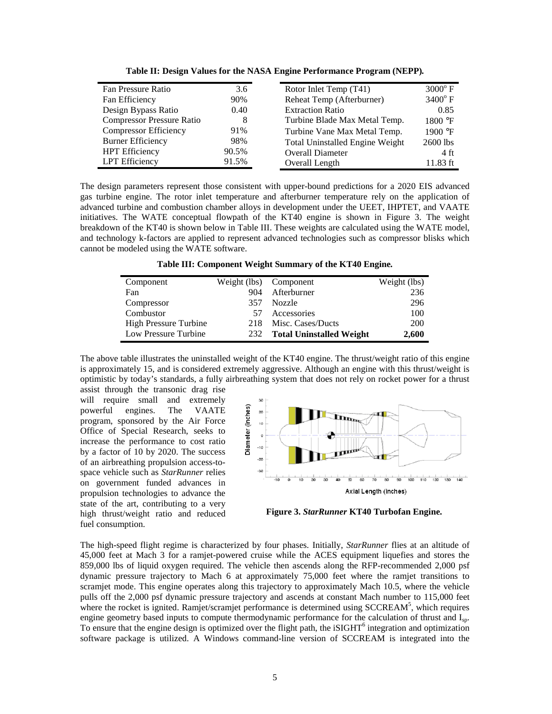| Fan Pressure Ratio               | 3.6   | Rotor Inlet Temp (T41)                 | $3000^{\circ}$ F |
|----------------------------------|-------|----------------------------------------|------------------|
| Fan Efficiency                   | 90%   | Reheat Temp (Afterburner)              | $3400^{\circ}$ F |
| Design Bypass Ratio              | 0.40  | <b>Extraction Ratio</b>                | 0.85             |
| <b>Compressor Pressure Ratio</b> | 8     | Turbine Blade Max Metal Temp.          | 1800 °F          |
| <b>Compressor Efficiency</b>     | 91%   | Turbine Vane Max Metal Temp.           | 1900 °F          |
| <b>Burner Efficiency</b>         | 98%   | <b>Total Uninstalled Engine Weight</b> | 2600 lbs         |
| <b>HPT</b> Efficiency            | 90.5% | <b>Overall Diameter</b>                | 4 ft             |
| LPT Efficiency                   | 91.5% | Overall Length                         | 11.83 ft         |

**Table II: Design Values for the NASA Engine Performance Program (NEPP).**

The design parameters represent those consistent with upper-bound predictions for a 2020 EIS advanced gas turbine engine. The rotor inlet temperature and afterburner temperature rely on the application of advanced turbine and combustion chamber alloys in development under the UEET, IHPTET, and VAATE initiatives. The WATE conceptual flowpath of the KT40 engine is shown in Figure 3. The weight breakdown of the KT40 is shown below in Table III. These weights are calculated using the WATE model, and technology k-factors are applied to represent advanced technologies such as compressor blisks which cannot be modeled using the WATE software.

**Table III: Component Weight Summary of the KT40 Engine.**

| Component                    | Weight (lbs) Component |                                 | Weight (lbs) |
|------------------------------|------------------------|---------------------------------|--------------|
| Fan                          | 904                    | Afterburner                     | 236          |
| Compressor                   | 357                    | Nozzle                          | 296          |
| Combustor                    | 57                     | Accessories                     | 100          |
| <b>High Pressure Turbine</b> | 218                    | Misc. Cases/Ducts               | 200          |
| Low Pressure Turbine         | 232                    | <b>Total Uninstalled Weight</b> | 2,600        |

The above table illustrates the uninstalled weight of the KT40 engine. The thrust/weight ratio of this engine is approximately 15, and is considered extremely aggressive. Although an engine with this thrust/weight is optimistic by today's standards, a fully airbreathing system that does not rely on rocket power for a thrust

assist through the transonic drag rise will require small and extremely powerful engines. The VAATE program, sponsored by the Air Force Office of Special Research, seeks to increase the performance to cost ratio by a factor of 10 by 2020. The success of an airbreathing propulsion access-tospace vehicle such as *StarRunner* relies on government funded advances in propulsion technologies to advance the state of the art, contributing to a very high thrust/weight ratio and reduced fuel consumption.



**Figure 3.** *StarRunner* **KT40 Turbofan Engine.**

The high-speed flight regime is characterized by four phases. Initially, *StarRunner* flies at an altitude of 45,000 feet at Mach 3 for a ramjet-powered cruise while the ACES equipment liquefies and stores the 859,000 lbs of liquid oxygen required. The vehicle then ascends along the RFP-recommended 2,000 psf dynamic pressure trajectory to Mach 6 at approximately 75,000 feet where the ramjet transitions to scramjet mode. This engine operates along this trajectory to approximately Mach 10.5, where the vehicle pulls off the 2,000 psf dynamic pressure trajectory and ascends at constant Mach number to 115,000 feet where the rocket is ignited. Ramjet/scramjet performance is determined using SCCREAM<sup>5</sup>, which requires engine geometry based inputs to compute thermodynamic performance for the calculation of thrust and I<sub>sp</sub>. To ensure that the engine design is optimized over the flight path, the iSIGHT<sup>6</sup> integration and optimization software package is utilized. A Windows command-line version of SCCREAM is integrated into the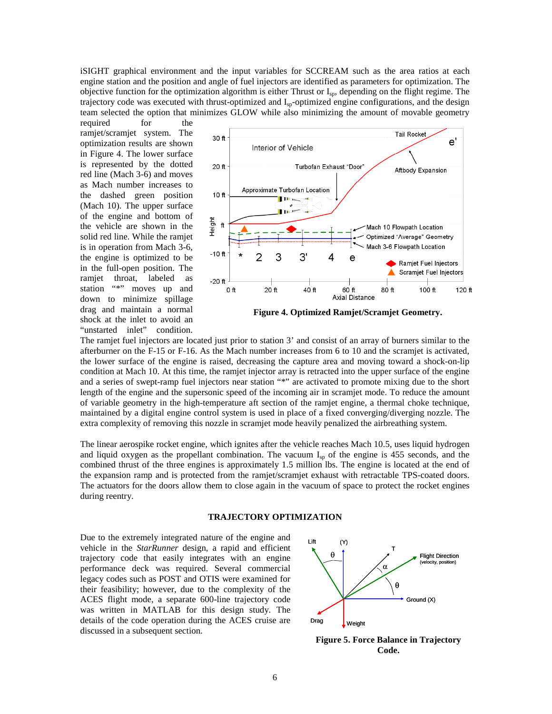iSIGHT graphical environment and the input variables for SCCREAM such as the area ratios at each engine station and the position and angle of fuel injectors are identified as parameters for optimization. The objective function for the optimization algorithm is either Thrust or Isp, depending on the flight regime. The trajectory code was executed with thrust-optimized and I<sub>sp</sub>-optimized engine configurations, and the design team selected the option that minimizes GLOW while also minimizing the amount of movable geometry

required for the ramjet/scramjet system. The optimization results are shown in Figure 4. The lower surface is represented by the dotted red line (Mach 3-6) and moves as Mach number increases to the dashed green position (Mach 10). The upper surface of the engine and bottom of the vehicle are shown in the solid red line. While the ramjet is in operation from Mach 3-6, the engine is optimized to be in the full-open position. The ramjet throat, labeled as station "\*" moves up and down to minimize spillage drag and maintain a normal shock at the inlet to avoid an "unstarted inlet" condition.



**Figure 4. Optimized Ramjet/Scramjet Geometry.**

The ramjet fuel injectors are located just prior to station 3' and consist of an array of burners similar to the afterburner on the F-15 or F-16. As the Mach number increases from 6 to 10 and the scramjet is activated, the lower surface of the engine is raised, decreasing the capture area and moving toward a shock-on-lip condition at Mach 10. At this time, the ramjet injector array is retracted into the upper surface of the engine and a series of swept-ramp fuel injectors near station "\*" are activated to promote mixing due to the short length of the engine and the supersonic speed of the incoming air in scramjet mode. To reduce the amount of variable geometry in the high-temperature aft section of the ramjet engine, a thermal choke technique, maintained by a digital engine control system is used in place of a fixed converging/diverging nozzle. The extra complexity of removing this nozzle in scramjet mode heavily penalized the airbreathing system.

The linear aerospike rocket engine, which ignites after the vehicle reaches Mach 10.5, uses liquid hydrogen and liquid oxygen as the propellant combination. The vacuum  $I_{sp}$  of the engine is 455 seconds, and the combined thrust of the three engines is approximately 1.5 million lbs. The engine is located at the end of the expansion ramp and is protected from the ramjet/scramjet exhaust with retractable TPS-coated doors. The actuators for the doors allow them to close again in the vacuum of space to protect the rocket engines during reentry.

# **TRAJECTORY OPTIMIZATION**

Due to the extremely integrated nature of the engine and vehicle in the *StarRunner* design, a rapid and efficient trajectory code that easily integrates with an engine performance deck was required. Several commercial legacy codes such as POST and OTIS were examined for their feasibility; however, due to the complexity of the ACES flight mode, a separate 600-line trajectory code was written in MATLAB for this design study. The details of the code operation during the ACES cruise are discussed in a subsequent section.



**Figure 5. Force Balance in Trajectory Code.**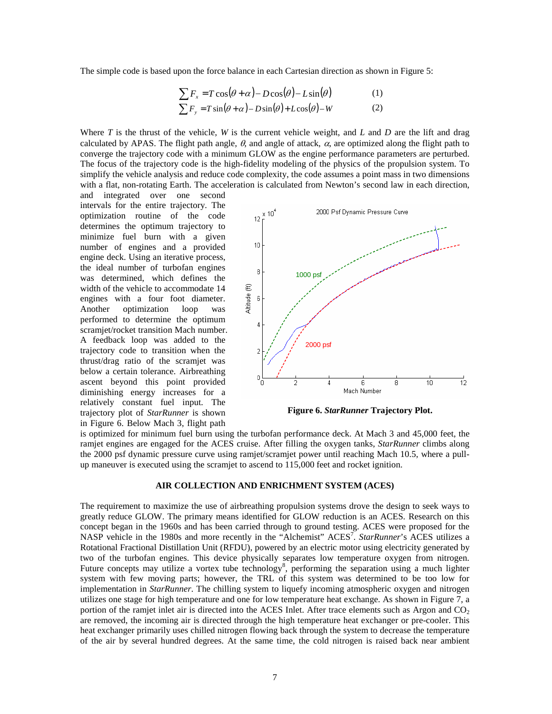The simple code is based upon the force balance in each Cartesian direction as shown in Figure 5:

$$
\sum F_x = T\cos(\theta + \alpha) - D\cos(\theta) - L\sin(\theta) \tag{1}
$$

$$
\sum F_y = T \sin(\theta + \alpha) - D \sin(\theta) + L \cos(\theta) - W \tag{2}
$$

Where *T* is the thrust of the vehicle, *W* is the current vehicle weight, and *L* and *D* are the lift and drag calculated by APAS. The flight path angle,  $\theta$ , and angle of attack,  $\alpha$ , are optimized along the flight path to converge the trajectory code with a minimum GLOW as the engine performance parameters are perturbed. The focus of the trajectory code is the high-fidelity modeling of the physics of the propulsion system. To simplify the vehicle analysis and reduce code complexity, the code assumes a point mass in two dimensions with a flat, non-rotating Earth. The acceleration is calculated from Newton's second law in each direction,

and integrated over one second intervals for the entire trajectory. The optimization routine of the code determines the optimum trajectory to minimize fuel burn with a given number of engines and a provided engine deck. Using an iterative process, the ideal number of turbofan engines was determined, which defines the width of the vehicle to accommodate 14 engines with a four foot diameter. Another optimization loop was performed to determine the optimum scramjet/rocket transition Mach number. A feedback loop was added to the trajectory code to transition when the thrust/drag ratio of the scramjet was below a certain tolerance. Airbreathing ascent beyond this point provided diminishing energy increases for a relatively constant fuel input. The trajectory plot of *StarRunner* is shown in Figure 6. Below Mach 3, flight path



**Figure 6.** *StarRunner* **Trajectory Plot.**

is optimized for minimum fuel burn using the turbofan performance deck. At Mach 3 and 45,000 feet, the ramjet engines are engaged for the ACES cruise. After filling the oxygen tanks, *StarRunner* climbs along the 2000 psf dynamic pressure curve using ramjet/scramjet power until reaching Mach 10.5, where a pullup maneuver is executed using the scramjet to ascend to 115,000 feet and rocket ignition.

# **AIR COLLECTION AND ENRICHMENT SYSTEM (ACES)**

The requirement to maximize the use of airbreathing propulsion systems drove the design to seek ways to greatly reduce GLOW. The primary means identified for GLOW reduction is an ACES. Research on this concept began in the 1960s and has been carried through to ground testing. ACES were proposed for the NASP vehicle in the 1980s and more recently in the "Alchemist" ACES<sup>7</sup>. *StarRunner*'s ACES utilizes a Rotational Fractional Distillation Unit (RFDU), powered by an electric motor using electricity generated by two of the turbofan engines. This device physically separates low temperature oxygen from nitrogen. Future concepts may utilize a vortex tube technology<sup>8</sup>, performing the separation using a much lighter system with few moving parts; however, the TRL of this system was determined to be too low for implementation in *StarRunner*. The chilling system to liquefy incoming atmospheric oxygen and nitrogen utilizes one stage for high temperature and one for low temperature heat exchange. As shown in Figure 7, a portion of the ramjet inlet air is directed into the ACES Inlet. After trace elements such as Argon and  $CO<sub>2</sub>$ are removed, the incoming air is directed through the high temperature heat exchanger or pre-cooler. This heat exchanger primarily uses chilled nitrogen flowing back through the system to decrease the temperature of the air by several hundred degrees. At the same time, the cold nitrogen is raised back near ambient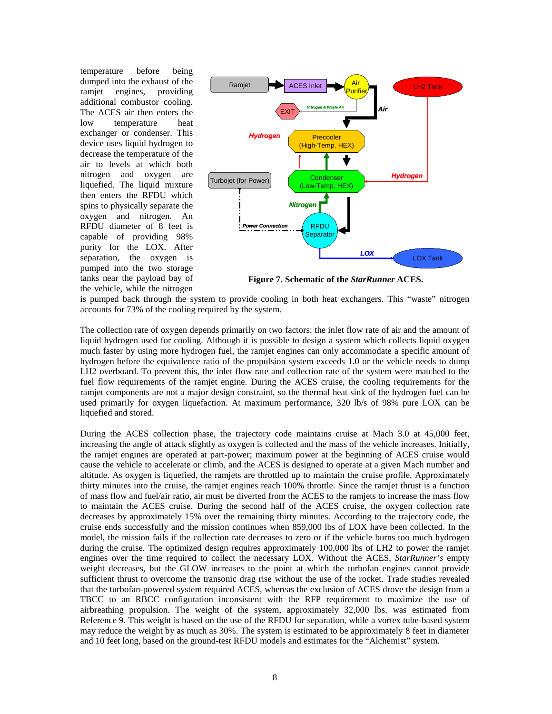temperature before being dumped into the exhaust of the ramjet engines, providing additional combustor cooling. The ACES air then enters the low temperature heat exchanger or condenser. This device uses liquid hydrogen to decrease the temperature of the air to levels at which both nitrogen and oxygen are liquefied. The liquid mixture then enters the RFDU which spins to physically separate the oxygen and nitrogen. An RFDU diameter of 8 feet is capable of providing 98% purity for the LOX. After separation, the oxygen is pumped into the two storage tanks near the payload bay of the vehicle, while the nitrogen



**Figure 7. Schematic of the** *StarRunner* **ACES.**

is pumped back through the system to provide cooling in both heat exchangers. This "waste" nitrogen accounts for 73% of the cooling required by the system.

The collection rate of oxygen depends primarily on two factors: the inlet flow rate of air and the amount of liquid hydrogen used for cooling. Although it is possible to design a system which collects liquid oxygen much faster by using more hydrogen fuel, the ramjet engines can only accommodate a specific amount of hydrogen before the equivalence ratio of the propulsion system exceeds 1.0 or the vehicle needs to dump LH2 overboard. To prevent this, the inlet flow rate and collection rate of the system were matched to the fuel flow requirements of the ramjet engine. During the ACES cruise, the cooling requirements for the ramjet components are not a major design constraint, so the thermal heat sink of the hydrogen fuel can be used primarily for oxygen liquefaction. At maximum performance, 320 lb/s of 98% pure LOX can be liquefied and stored.

During the ACES collection phase, the trajectory code maintains cruise at Mach 3.0 at 45,000 feet, increasing the angle of attack slightly as oxygen is collected and the mass of the vehicle increases. Initially, the ramjet engines are operated at part-power; maximum power at the beginning of ACES cruise would cause the vehicle to accelerate or climb, and the ACES is designed to operate at a given Mach number and altitude. As oxygen is liquefied, the ramjets are throttled up to maintain the cruise profile. Approximately thirty minutes into the cruise, the ramjet engines reach 100% throttle. Since the ramjet thrust is a function of mass flow and fuel/air ratio, air must be diverted from the ACES to the ramjets to increase the mass flow to maintain the ACES cruise. During the second half of the ACES cruise, the oxygen collection rate decreases by approximately 15% over the remaining thirty minutes. According to the trajectory code, the cruise ends successfully and the mission continues when 859,000 lbs of LOX have been collected. In the model, the mission fails if the collection rate decreases to zero or if the vehicle burns too much hydrogen during the cruise. The optimized design requires approximately 100,000 lbs of LH2 to power the ramjet engines over the time required to collect the necessary LOX. Without the ACES, *StarRunner's* empty weight decreases, but the GLOW increases to the point at which the turbofan engines cannot provide sufficient thrust to overcome the transonic drag rise without the use of the rocket. Trade studies revealed that the turbofan-powered system required ACES, whereas the exclusion of ACES drove the design from a TBCC to an RBCC configuration inconsistent with the RFP requirement to maximize the use of airbreathing propulsion. The weight of the system, approximately 32,000 lbs, was estimated from Reference 9. This weight is based on the use of the RFDU for separation, while a vortex tube-based system may reduce the weight by as much as 30%. The system is estimated to be approximately 8 feet in diameter and 10 feet long, based on the ground-test RFDU models and estimates for the "Alchemist" system.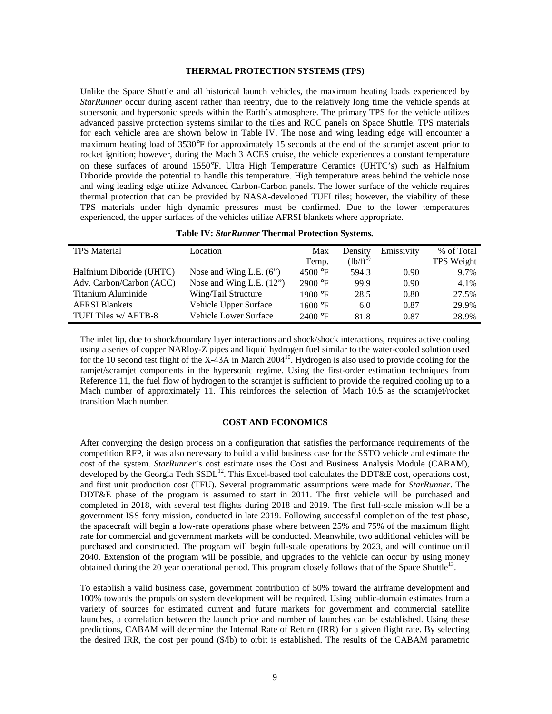#### **THERMAL PROTECTION SYSTEMS (TPS)**

Unlike the Space Shuttle and all historical launch vehicles, the maximum heating loads experienced by *StarRunner* occur during ascent rather than reentry, due to the relatively long time the vehicle spends at supersonic and hypersonic speeds within the Earth's atmosphere. The primary TPS for the vehicle utilizes advanced passive protection systems similar to the tiles and RCC panels on Space Shuttle. TPS materials for each vehicle area are shown below in Table IV. The nose and wing leading edge will encounter a maximum heating load of 3530°F for approximately 15 seconds at the end of the scramjet ascent prior to rocket ignition; however, during the Mach 3 ACES cruise, the vehicle experiences a constant temperature on these surfaces of around 1550°F. Ultra High Temperature Ceramics (UHTC's) such as Halfnium Diboride provide the potential to handle this temperature. High temperature areas behind the vehicle nose and wing leading edge utilize Advanced Carbon-Carbon panels. The lower surface of the vehicle requires thermal protection that can be provided by NASA-developed TUFI tiles; however, the viability of these TPS materials under high dynamic pressures must be confirmed. Due to the lower temperatures experienced, the upper surfaces of the vehicles utilize AFRSI blankets where appropriate.

| <b>TPS</b> Material      | Location                   | Max     | Density     | Emissivity | % of Total |
|--------------------------|----------------------------|---------|-------------|------------|------------|
|                          |                            | Temp.   | $(lb/ft^3)$ |            | TPS Weight |
| Halfnium Diboride (UHTC) | Nose and Wing L.E. $(6)$   | 4500 °F | 594.3       | 0.90       | 9.7%       |
| Adv. Carbon/Carbon (ACC) | Nose and Wing L.E. $(12")$ | 2900 °F | 99.9        | 0.90       | 4.1%       |
| Titanium Aluminide       | Wing/Tail Structure        | 1900 °F | 28.5        | 0.80       | 27.5%      |
| <b>AFRSI Blankets</b>    | Vehicle Upper Surface      | 1600 °F | 6.0         | 0.87       | 29.9%      |
| TUFI Tiles w/ AETB-8     | Vehicle Lower Surface      | 2400 °F | 81.8        | 0.87       | 28.9%      |

# **Table IV:** *StarRunner* **Thermal Protection Systems.**

The inlet lip, due to shock/boundary layer interactions and shock/shock interactions, requires active cooling using a series of copper NARloy-Z pipes and liquid hydrogen fuel similar to the water-cooled solution used for the 10 second test flight of the X-43A in March 2004<sup>10</sup>. Hydrogen is also used to provide cooling for the ramjet/scramjet components in the hypersonic regime. Using the first-order estimation techniques from Reference 11, the fuel flow of hydrogen to the scramjet is sufficient to provide the required cooling up to a Mach number of approximately 11. This reinforces the selection of Mach 10.5 as the scramjet/rocket transition Mach number.

## **COST AND ECONOMICS**

After converging the design process on a configuration that satisfies the performance requirements of the competition RFP, it was also necessary to build a valid business case for the SSTO vehicle and estimate the cost of the system. *StarRunner*'s cost estimate uses the Cost and Business Analysis Module (CABAM), developed by the Georgia Tech  $SSDL^{12}$ . This Excel-based tool calculates the DDT&E cost, operations cost, and first unit production cost (TFU). Several programmatic assumptions were made for *StarRunner*. The DDT&E phase of the program is assumed to start in 2011. The first vehicle will be purchased and completed in 2018, with several test flights during 2018 and 2019. The first full-scale mission will be a government ISS ferry mission, conducted in late 2019. Following successful completion of the test phase, the spacecraft will begin a low-rate operations phase where between 25% and 75% of the maximum flight rate for commercial and government markets will be conducted. Meanwhile, two additional vehicles will be purchased and constructed. The program will begin full-scale operations by 2023, and will continue until 2040. Extension of the program will be possible, and upgrades to the vehicle can occur by using money obtained during the 20 year operational period. This program closely follows that of the Space Shuttle<sup>13</sup>.

To establish a valid business case, government contribution of 50% toward the airframe development and 100% towards the propulsion system development will be required. Using public-domain estimates from a variety of sources for estimated current and future markets for government and commercial satellite launches, a correlation between the launch price and number of launches can be established. Using these predictions, CABAM will determine the Internal Rate of Return (IRR) for a given flight rate. By selecting the desired IRR, the cost per pound (\$/lb) to orbit is established. The results of the CABAM parametric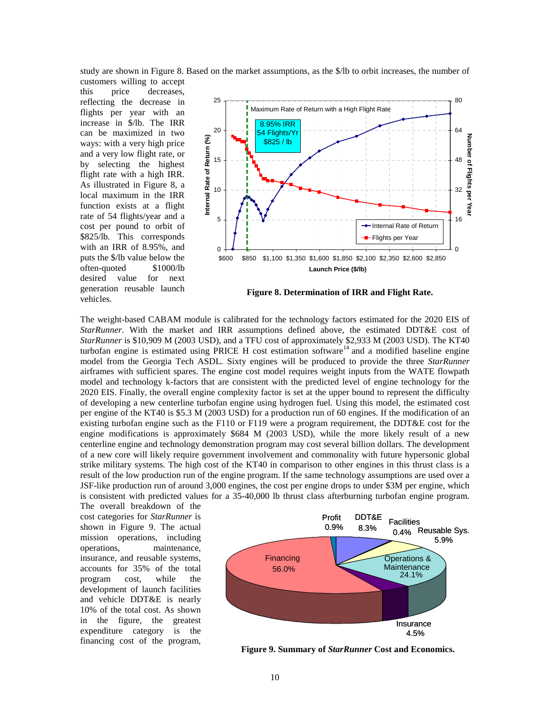study are shown in Figure 8. Based on the market assumptions, as the \$/lb to orbit increases, the number of customers willing to accept

this price decreases, reflecting the decrease in flights per year with an increase in \$/lb. The IRR can be maximized in two ways: with a very high price and a very low flight rate, or by selecting the highest flight rate with a high IRR. As illustrated in Figure 8, a local maximum in the IRR function exists at a flight rate of 54 flights/year and a cost per pound to orbit of \$825/lb. This corresponds with an IRR of 8.95%, and puts the \$/lb value below the often-quoted \$1000/lb desired value for next generation reusable launch vehicles.



**Figure 8. Determination of IRR and Flight Rate.**

The weight-based CABAM module is calibrated for the technology factors estimated for the 2020 EIS of *StarRunner*. With the market and IRR assumptions defined above, the estimated DDT&E cost of *StarRunner* is \$10,909 M (2003 USD), and a TFU cost of approximately \$2,933 M (2003 USD). The KT40 turbofan engine is estimated using PRICE H cost estimation software<sup>14</sup> and a modified baseline engine model from the Georgia Tech ASDL. Sixty engines will be produced to provide the three *StarRunner* airframes with sufficient spares. The engine cost model requires weight inputs from the WATE flowpath model and technology k-factors that are consistent with the predicted level of engine technology for the 2020 EIS. Finally, the overall engine complexity factor is set at the upper bound to represent the difficulty of developing a new centerline turbofan engine using hydrogen fuel. Using this model, the estimated cost per engine of the KT40 is \$5.3 M (2003 USD) for a production run of 60 engines. If the modification of an existing turbofan engine such as the F110 or F119 were a program requirement, the DDT&E cost for the engine modifications is approximately \$684 M (2003 USD), while the more likely result of a new centerline engine and technology demonstration program may cost several billion dollars. The development of a new core will likely require government involvement and commonality with future hypersonic global strike military systems. The high cost of the KT40 in comparison to other engines in this thrust class is a result of the low production run of the engine program. If the same technology assumptions are used over a JSF-like production run of around 3,000 engines, the cost per engine drops to under \$3M per engine, which is consistent with predicted values for a 35-40,000 lb thrust class afterburning turbofan engine program.

The overall breakdown of the cost categories for *StarRunner* is shown in Figure 9. The actual mission operations, including operations, maintenance, insurance, and reusable systems, accounts for 35% of the total program cost, while the development of launch facilities and vehicle DDT&E is nearly 10% of the total cost. As shown in the figure, the greatest expenditure category is the financing cost of the program,



**Figure 9. Summary of** *StarRunner* **Cost and Economics.**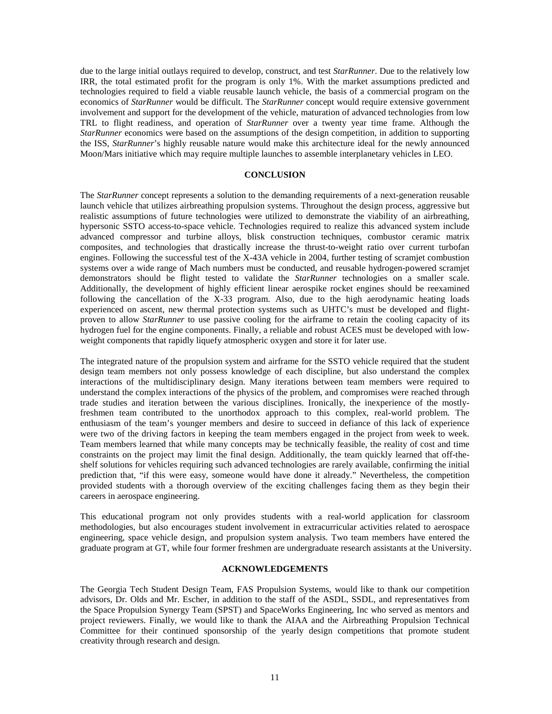due to the large initial outlays required to develop, construct, and test *StarRunner*. Due to the relatively low IRR, the total estimated profit for the program is only 1%. With the market assumptions predicted and technologies required to field a viable reusable launch vehicle, the basis of a commercial program on the economics of *StarRunner* would be difficult. The *StarRunner* concept would require extensive government involvement and support for the development of the vehicle, maturation of advanced technologies from low TRL to flight readiness, and operation of *StarRunner* over a twenty year time frame. Although the *StarRunner* economics were based on the assumptions of the design competition, in addition to supporting the ISS, *StarRunner*'s highly reusable nature would make this architecture ideal for the newly announced Moon/Mars initiative which may require multiple launches to assemble interplanetary vehicles in LEO.

## **CONCLUSION**

The *StarRunner* concept represents a solution to the demanding requirements of a next-generation reusable launch vehicle that utilizes airbreathing propulsion systems. Throughout the design process, aggressive but realistic assumptions of future technologies were utilized to demonstrate the viability of an airbreathing, hypersonic SSTO access-to-space vehicle. Technologies required to realize this advanced system include advanced compressor and turbine alloys, blisk construction techniques, combustor ceramic matrix composites, and technologies that drastically increase the thrust-to-weight ratio over current turbofan engines. Following the successful test of the X-43A vehicle in 2004, further testing of scramjet combustion systems over a wide range of Mach numbers must be conducted, and reusable hydrogen-powered scramjet demonstrators should be flight tested to validate the *StarRunner* technologies on a smaller scale. Additionally, the development of highly efficient linear aerospike rocket engines should be reexamined following the cancellation of the X-33 program. Also, due to the high aerodynamic heating loads experienced on ascent, new thermal protection systems such as UHTC's must be developed and flightproven to allow *StarRunner* to use passive cooling for the airframe to retain the cooling capacity of its hydrogen fuel for the engine components. Finally, a reliable and robust ACES must be developed with lowweight components that rapidly liquefy atmospheric oxygen and store it for later use.

The integrated nature of the propulsion system and airframe for the SSTO vehicle required that the student design team members not only possess knowledge of each discipline, but also understand the complex interactions of the multidisciplinary design. Many iterations between team members were required to understand the complex interactions of the physics of the problem, and compromises were reached through trade studies and iteration between the various disciplines. Ironically, the inexperience of the mostlyfreshmen team contributed to the unorthodox approach to this complex, real-world problem. The enthusiasm of the team's younger members and desire to succeed in defiance of this lack of experience were two of the driving factors in keeping the team members engaged in the project from week to week. Team members learned that while many concepts may be technically feasible, the reality of cost and time constraints on the project may limit the final design. Additionally, the team quickly learned that off-theshelf solutions for vehicles requiring such advanced technologies are rarely available, confirming the initial prediction that, "if this were easy, someone would have done it already." Nevertheless, the competition provided students with a thorough overview of the exciting challenges facing them as they begin their careers in aerospace engineering.

This educational program not only provides students with a real-world application for classroom methodologies, but also encourages student involvement in extracurricular activities related to aerospace engineering, space vehicle design, and propulsion system analysis. Two team members have entered the graduate program at GT, while four former freshmen are undergraduate research assistants at the University.

#### **ACKNOWLEDGEMENTS**

The Georgia Tech Student Design Team, FAS Propulsion Systems, would like to thank our competition advisors, Dr. Olds and Mr. Escher, in addition to the staff of the ASDL, SSDL, and representatives from the Space Propulsion Synergy Team (SPST) and SpaceWorks Engineering, Inc who served as mentors and project reviewers. Finally, we would like to thank the AIAA and the Airbreathing Propulsion Technical Committee for their continued sponsorship of the yearly design competitions that promote student creativity through research and design.